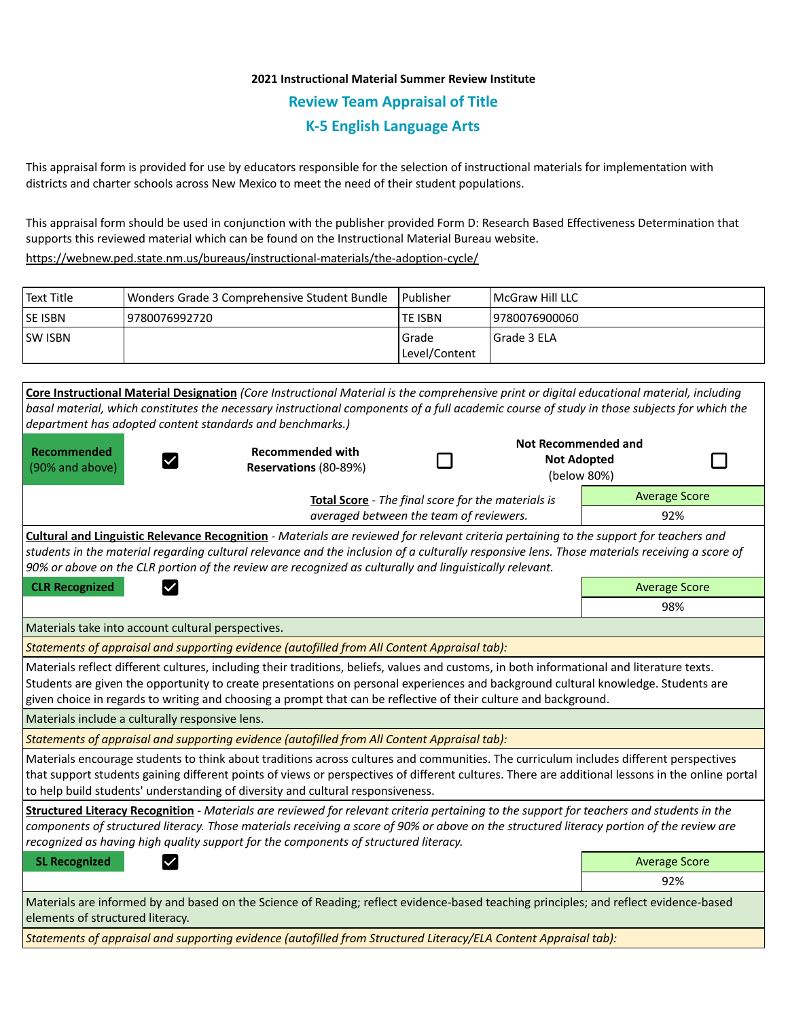## **2021 Instructional Material Summer Review Institute Review Team Appraisal of Title K-5 English Language Arts**

This appraisal form is provided for use by educators responsible for the selection of instructional materials for implementation with districts and charter schools across New Mexico to meet the need of their student populations.

This appraisal form should be used in conjunction with the publisher provided Form D: Research Based Effectiveness Determination that supports this reviewed material which can be found on the Instructional Material Bureau website.

<https://webnew.ped.state.nm.us/bureaus/instructional-materials/the-adoption-cycle/>

| Text Title     | Wonders Grade 3 Comprehensive Student Bundle | l Publisher   | <b>IMcGraw Hill LLC</b> |
|----------------|----------------------------------------------|---------------|-------------------------|
| <b>SE ISBN</b> | 9780076992720                                | lte ISBN      | 9780076900060           |
| <b>SW ISBN</b> |                                              | l Grade       | l Grade 3 ELA           |
|                |                                              | Level/Content |                         |

**Core Instructional Material Designation** *(Core Instructional Material is the comprehensive print or digital educational material, including basal material, which constitutes the necessary instructional components of a full academic course of study in those subjects for which the department has adopted content standards and benchmarks.)* **Not Recommended and Recommended Recommended with**  П П **Not Adopted**   $\checkmark$ (90% and above) **Reservations** (80-89%) (below 80%) Average Score **Total Score** - *The final score for the materials is averaged between the team of reviewers.* 92% **Cultural and Linguistic Relevance Recognition** - *Materials are reviewed for relevant criteria pertaining to the support for teachers and students in the material regarding cultural relevance and the inclusion of a culturally responsive lens. Those materials receiving a score of 90% or above on the CLR portion of the review are recognized as culturally and linguistically relevant.* **CLR Recognized Average Score Average Score Average Score Average Score Average Score** 98% Materials take into account cultural perspectives. *Statements of appraisal and supporting evidence (autofilled from All Content Appraisal tab):*  Materials reflect different cultures, including their traditions, beliefs, values and customs, in both informational and literature texts. Students are given the opportunity to create presentations on personal experiences and background cultural knowledge. Students are given choice in regards to writing and choosing a prompt that can be reflective of their culture and background. Materials include a culturally responsive lens. *Statements of appraisal and supporting evidence (autofilled from All Content Appraisal tab):*  Materials encourage students to think about traditions across cultures and communities. The curriculum includes different perspectives that support students gaining different points of views or perspectives of different cultures. There are additional lessons in the online portal to help build students' understanding of diversity and cultural responsiveness. **Structured Literacy Recognition** - *Materials are reviewed for relevant criteria pertaining to the support for teachers and students in the components of structured literacy. Those materials receiving a score of 90% or above on the structured literacy portion of the review are recognized as having high quality support for the components of structured literacy.* **SL Recognized Average Score** Average Score and Average Score and Average Score and Average Score and Average Score 92% Materials are informed by and based on the Science of Reading; reflect evidence-based teaching principles; and reflect evidence-based elements of structured literacy.

*Statements of appraisal and supporting evidence (autofilled from Structured Literacy/ELA Content Appraisal tab):*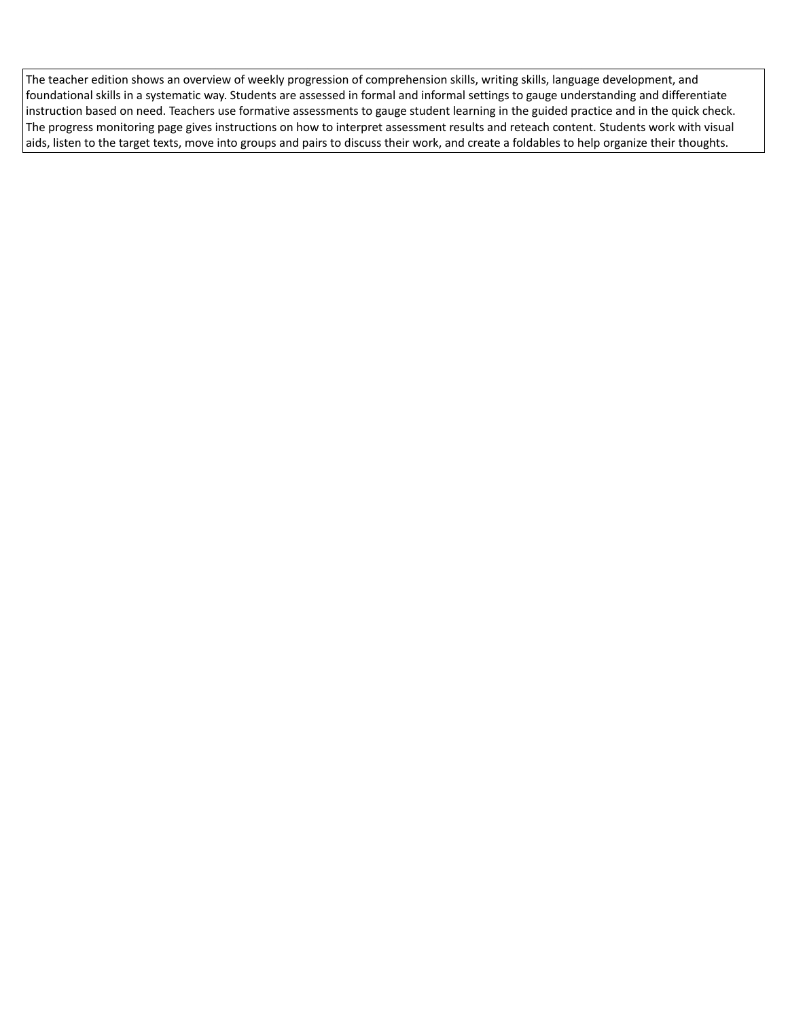The teacher edition shows an overview of weekly progression of comprehension skills, writing skills, language development, and foundational skills in a systematic way. Students are assessed in formal and informal settings to gauge understanding and differentiate instruction based on need. Teachers use formative assessments to gauge student learning in the guided practice and in the quick check. The progress monitoring page gives instructions on how to interpret assessment results and reteach content. Students work with visual aids, listen to the target texts, move into groups and pairs to discuss their work, and create a foldables to help organize their thoughts.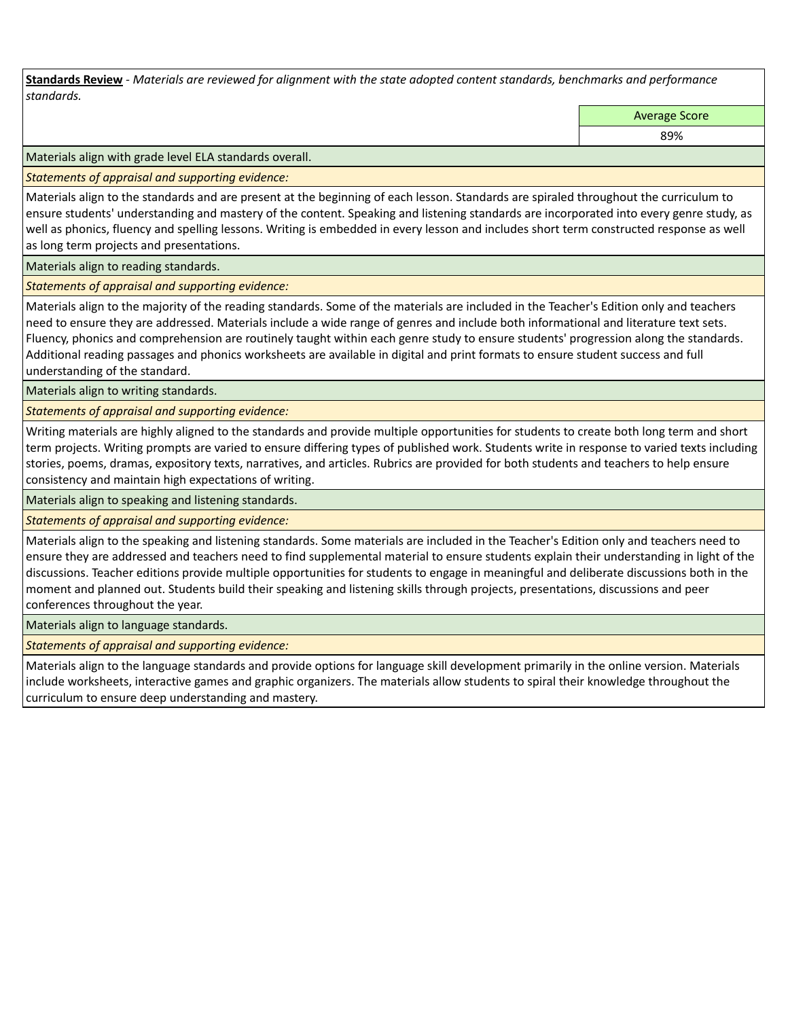**Standards Review** *- Materials are reviewed for alignment with the state adopted content standards, benchmarks and performance standards.*

Average Score

89%

Materials align with grade level ELA standards overall.

*Statements of appraisal and supporting evidence:* 

Materials align to the standards and are present at the beginning of each lesson. Standards are spiraled throughout the curriculum to ensure students' understanding and mastery of the content. Speaking and listening standards are incorporated into every genre study, as well as phonics, fluency and spelling lessons. Writing is embedded in every lesson and includes short term constructed response as well as long term projects and presentations.

Materials align to reading standards.

*Statements of appraisal and supporting evidence:* 

Materials align to the majority of the reading standards. Some of the materials are included in the Teacher's Edition only and teachers need to ensure they are addressed. Materials include a wide range of genres and include both informational and literature text sets. Fluency, phonics and comprehension are routinely taught within each genre study to ensure students' progression along the standards. Additional reading passages and phonics worksheets are available in digital and print formats to ensure student success and full understanding of the standard.

Materials align to writing standards.

*Statements of appraisal and supporting evidence:* 

Writing materials are highly aligned to the standards and provide multiple opportunities for students to create both long term and short term projects. Writing prompts are varied to ensure differing types of published work. Students write in response to varied texts including stories, poems, dramas, expository texts, narratives, and articles. Rubrics are provided for both students and teachers to help ensure consistency and maintain high expectations of writing.

Materials align to speaking and listening standards.

*Statements of appraisal and supporting evidence:* 

Materials align to the speaking and listening standards. Some materials are included in the Teacher's Edition only and teachers need to ensure they are addressed and teachers need to find supplemental material to ensure students explain their understanding in light of the discussions. Teacher editions provide multiple opportunities for students to engage in meaningful and deliberate discussions both in the moment and planned out. Students build their speaking and listening skills through projects, presentations, discussions and peer conferences throughout the year.

Materials align to language standards.

*Statements of appraisal and supporting evidence:* 

Materials align to the language standards and provide options for language skill development primarily in the online version. Materials include worksheets, interactive games and graphic organizers. The materials allow students to spiral their knowledge throughout the curriculum to ensure deep understanding and mastery.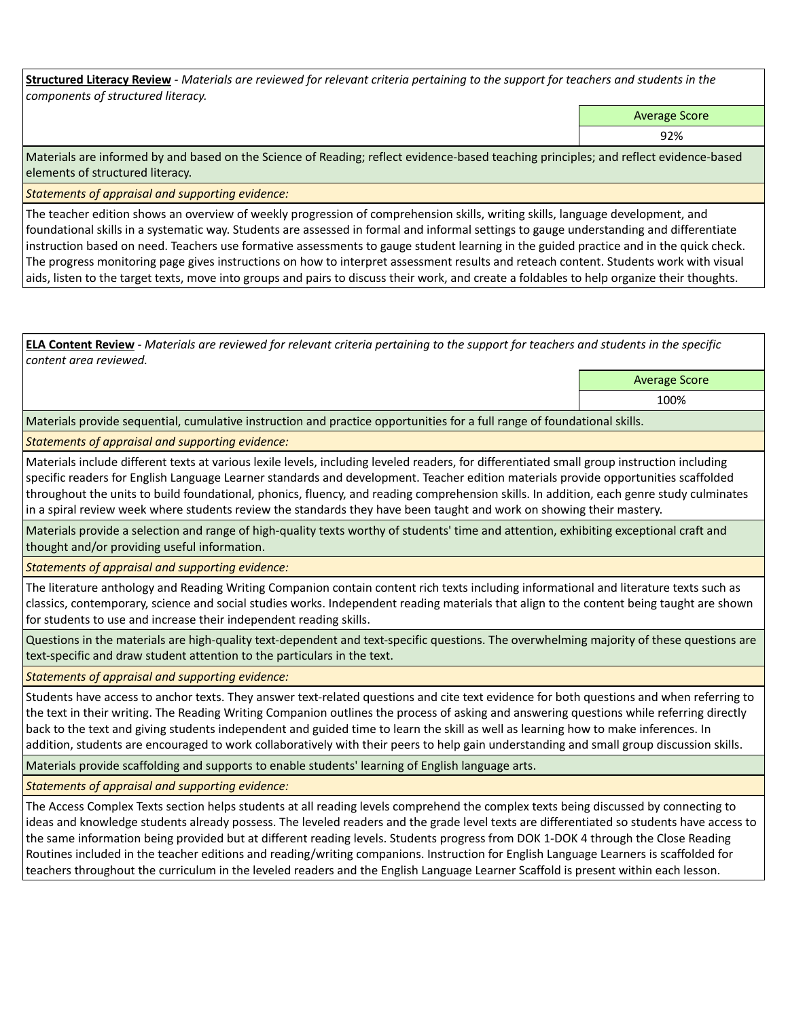**Structured Literacy Review** *- Materials are reviewed for relevant criteria pertaining to the support for teachers and students in the components of structured literacy.*

Average Score

92%

Materials are informed by and based on the Science of Reading; reflect evidence-based teaching principles; and reflect evidence-based elements of structured literacy.

*Statements of appraisal and supporting evidence:*

The teacher edition shows an overview of weekly progression of comprehension skills, writing skills, language development, and foundational skills in a systematic way. Students are assessed in formal and informal settings to gauge understanding and differentiate instruction based on need. Teachers use formative assessments to gauge student learning in the guided practice and in the quick check. The progress monitoring page gives instructions on how to interpret assessment results and reteach content. Students work with visual aids, listen to the target texts, move into groups and pairs to discuss their work, and create a foldables to help organize their thoughts.

**ELA Content Review** *- Materials are reviewed for relevant criteria pertaining to the support for teachers and students in the specific content area reviewed.*

> Average Score 100%

Materials provide sequential, cumulative instruction and practice opportunities for a full range of foundational skills.

*Statements of appraisal and supporting evidence:* 

Materials include different texts at various lexile levels, including leveled readers, for differentiated small group instruction including specific readers for English Language Learner standards and development. Teacher edition materials provide opportunities scaffolded throughout the units to build foundational, phonics, fluency, and reading comprehension skills. In addition, each genre study culminates in a spiral review week where students review the standards they have been taught and work on showing their mastery.

Materials provide a selection and range of high-quality texts worthy of students' time and attention, exhibiting exceptional craft and thought and/or providing useful information.

*Statements of appraisal and supporting evidence:* 

The literature anthology and Reading Writing Companion contain content rich texts including informational and literature texts such as classics, contemporary, science and social studies works. Independent reading materials that align to the content being taught are shown for students to use and increase their independent reading skills.

Questions in the materials are high-quality text-dependent and text-specific questions. The overwhelming majority of these questions are text-specific and draw student attention to the particulars in the text.

*Statements of appraisal and supporting evidence:* 

Students have access to anchor texts. They answer text-related questions and cite text evidence for both questions and when referring to the text in their writing. The Reading Writing Companion outlines the process of asking and answering questions while referring directly back to the text and giving students independent and guided time to learn the skill as well as learning how to make inferences. In addition, students are encouraged to work collaboratively with their peers to help gain understanding and small group discussion skills.

Materials provide scaffolding and supports to enable students' learning of English language arts.

*Statements of appraisal and supporting evidence:* 

The Access Complex Texts section helps students at all reading levels comprehend the complex texts being discussed by connecting to ideas and knowledge students already possess. The leveled readers and the grade level texts are differentiated so students have access to the same information being provided but at different reading levels. Students progress from DOK 1-DOK 4 through the Close Reading Routines included in the teacher editions and reading/writing companions. Instruction for English Language Learners is scaffolded for teachers throughout the curriculum in the leveled readers and the English Language Learner Scaffold is present within each lesson.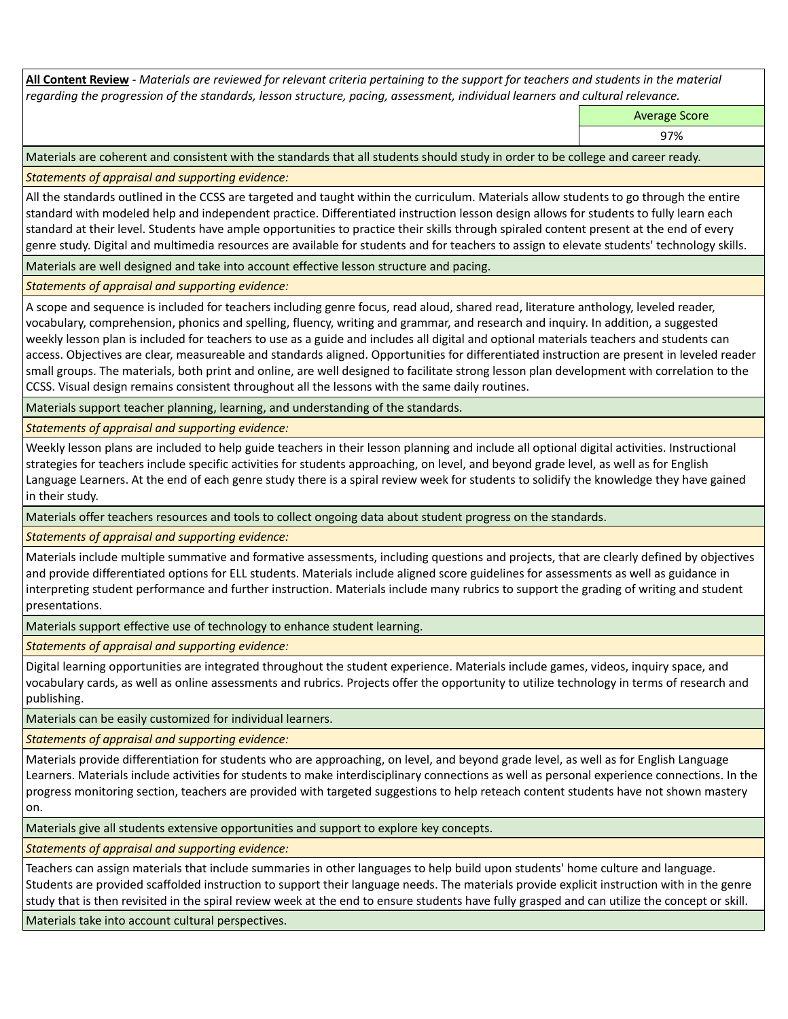**All Content Review** *- Materials are reviewed for relevant criteria pertaining to the support for teachers and students in the material regarding the progression of the standards, lesson structure, pacing, assessment, individual learners and cultural relevance.*

Average Score

97%

Materials are coherent and consistent with the standards that all students should study in order to be college and career ready.

*Statements of appraisal and supporting evidence:*

All the standards outlined in the CCSS are targeted and taught within the curriculum. Materials allow students to go through the entire standard with modeled help and independent practice. Differentiated instruction lesson design allows for students to fully learn each standard at their level. Students have ample opportunities to practice their skills through spiraled content present at the end of every genre study. Digital and multimedia resources are available for students and for teachers to assign to elevate students' technology skills.

Materials are well designed and take into account effective lesson structure and pacing.

*Statements of appraisal and supporting evidence:*

A scope and sequence is included for teachers including genre focus, read aloud, shared read, literature anthology, leveled reader, vocabulary, comprehension, phonics and spelling, fluency, writing and grammar, and research and inquiry. In addition, a suggested weekly lesson plan is included for teachers to use as a guide and includes all digital and optional materials teachers and students can access. Objectives are clear, measureable and standards aligned. Opportunities for differentiated instruction are present in leveled reader small groups. The materials, both print and online, are well designed to facilitate strong lesson plan development with correlation to the CCSS. Visual design remains consistent throughout all the lessons with the same daily routines.

Materials support teacher planning, learning, and understanding of the standards.

*Statements of appraisal and supporting evidence:*

Weekly lesson plans are included to help guide teachers in their lesson planning and include all optional digital activities. Instructional strategies for teachers include specific activities for students approaching, on level, and beyond grade level, as well as for English Language Learners. At the end of each genre study there is a spiral review week for students to solidify the knowledge they have gained in their study.

Materials offer teachers resources and tools to collect ongoing data about student progress on the standards.

*Statements of appraisal and supporting evidence:*

Materials include multiple summative and formative assessments, including questions and projects, that are clearly defined by objectives and provide differentiated options for ELL students. Materials include aligned score guidelines for assessments as well as guidance in interpreting student performance and further instruction. Materials include many rubrics to support the grading of writing and student presentations.

Materials support effective use of technology to enhance student learning.

*Statements of appraisal and supporting evidence:*

Digital learning opportunities are integrated throughout the student experience. Materials include games, videos, inquiry space, and vocabulary cards, as well as online assessments and rubrics. Projects offer the opportunity to utilize technology in terms of research and publishing.

Materials can be easily customized for individual learners.

*Statements of appraisal and supporting evidence:* 

Materials provide differentiation for students who are approaching, on level, and beyond grade level, as well as for English Language Learners. Materials include activities for students to make interdisciplinary connections as well as personal experience connections. In the progress monitoring section, teachers are provided with targeted suggestions to help reteach content students have not shown mastery on.

Materials give all students extensive opportunities and support to explore key concepts.

*Statements of appraisal and supporting evidence:*

Teachers can assign materials that include summaries in other languages to help build upon students' home culture and language. Students are provided scaffolded instruction to support their language needs. The materials provide explicit instruction with in the genre study that is then revisited in the spiral review week at the end to ensure students have fully grasped and can utilize the concept or skill.

Materials take into account cultural perspectives.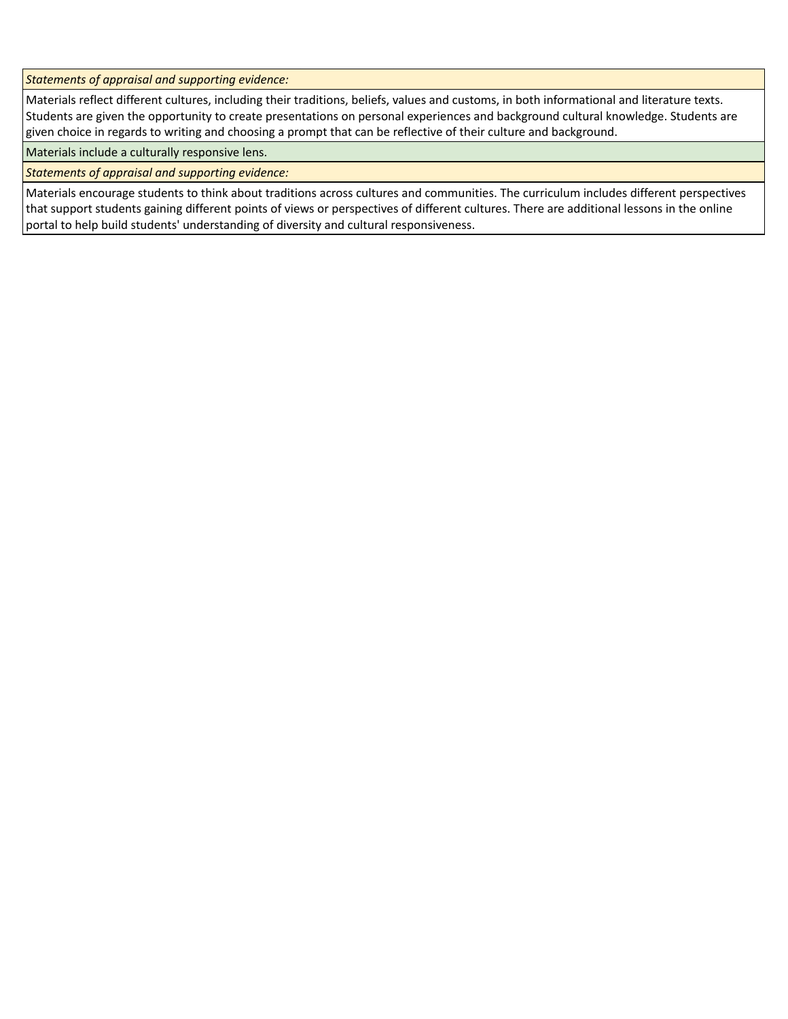*Statements of appraisal and supporting evidence:*

Materials reflect different cultures, including their traditions, beliefs, values and customs, in both informational and literature texts. Students are given the opportunity to create presentations on personal experiences and background cultural knowledge. Students are given choice in regards to writing and choosing a prompt that can be reflective of their culture and background.

Materials include a culturally responsive lens.

*Statements of appraisal and supporting evidence:*

Materials encourage students to think about traditions across cultures and communities. The curriculum includes different perspectives that support students gaining different points of views or perspectives of different cultures. There are additional lessons in the online portal to help build students' understanding of diversity and cultural responsiveness.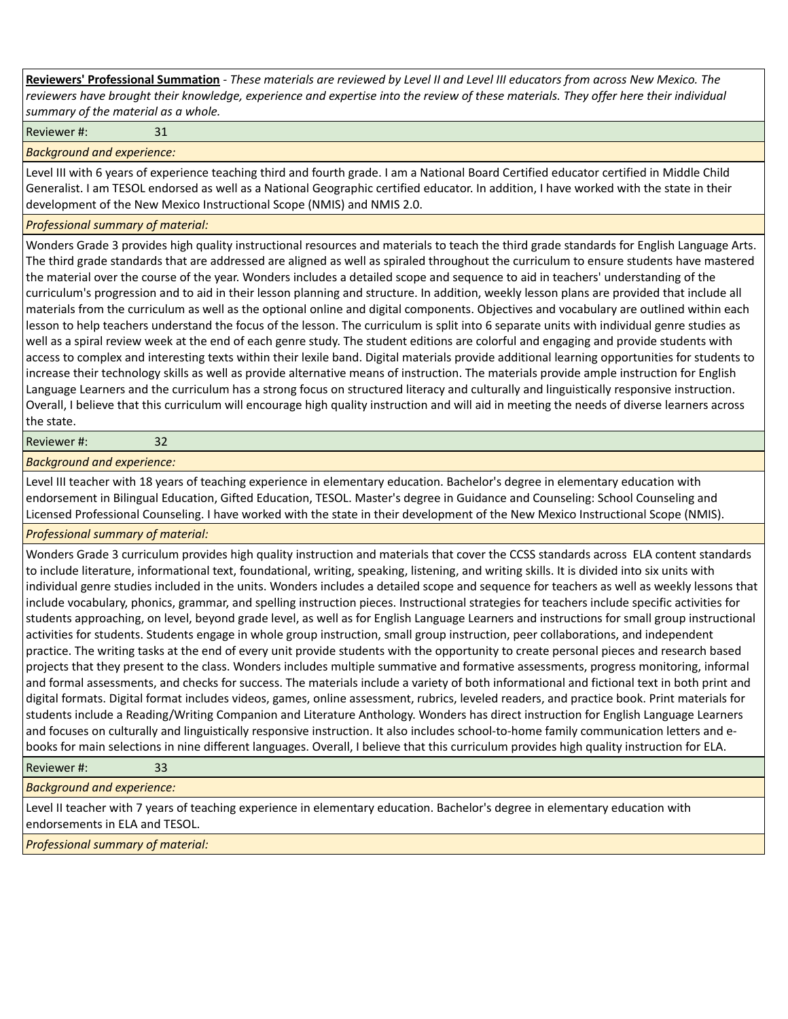**Reviewers' Professional Summation** *- These materials are reviewed by Level II and Level III educators from across New Mexico. The reviewers have brought their knowledge, experience and expertise into the review of these materials. They offer here their individual summary of the material as a whole.*

Reviewer #: 31

*Background and experience:*

Level III with 6 years of experience teaching third and fourth grade. I am a National Board Certified educator certified in Middle Child Generalist. I am TESOL endorsed as well as a National Geographic certified educator. In addition, I have worked with the state in their development of the New Mexico Instructional Scope (NMIS) and NMIS 2.0.

## *Professional summary of material:*

Wonders Grade 3 provides high quality instructional resources and materials to teach the third grade standards for English Language Arts. The third grade standards that are addressed are aligned as well as spiraled throughout the curriculum to ensure students have mastered the material over the course of the year. Wonders includes a detailed scope and sequence to aid in teachers' understanding of the curriculum's progression and to aid in their lesson planning and structure. In addition, weekly lesson plans are provided that include all materials from the curriculum as well as the optional online and digital components. Objectives and vocabulary are outlined within each lesson to help teachers understand the focus of the lesson. The curriculum is split into 6 separate units with individual genre studies as well as a spiral review week at the end of each genre study. The student editions are colorful and engaging and provide students with access to complex and interesting texts within their lexile band. Digital materials provide additional learning opportunities for students to increase their technology skills as well as provide alternative means of instruction. The materials provide ample instruction for English Language Learners and the curriculum has a strong focus on structured literacy and culturally and linguistically responsive instruction. Overall, I believe that this curriculum will encourage high quality instruction and will aid in meeting the needs of diverse learners across the state.

Reviewer #: 32

*Background and experience:*

Level III teacher with 18 years of teaching experience in elementary education. Bachelor's degree in elementary education with endorsement in Bilingual Education, Gifted Education, TESOL. Master's degree in Guidance and Counseling: School Counseling and Licensed Professional Counseling. I have worked with the state in their development of the New Mexico Instructional Scope (NMIS).

## *Professional summary of material:*

Wonders Grade 3 curriculum provides high quality instruction and materials that cover the CCSS standards across ELA content standards to include literature, informational text, foundational, writing, speaking, listening, and writing skills. It is divided into six units with individual genre studies included in the units. Wonders includes a detailed scope and sequence for teachers as well as weekly lessons that include vocabulary, phonics, grammar, and spelling instruction pieces. Instructional strategies for teachers include specific activities for students approaching, on level, beyond grade level, as well as for English Language Learners and instructions for small group instructional activities for students. Students engage in whole group instruction, small group instruction, peer collaborations, and independent practice. The writing tasks at the end of every unit provide students with the opportunity to create personal pieces and research based projects that they present to the class. Wonders includes multiple summative and formative assessments, progress monitoring, informal and formal assessments, and checks for success. The materials include a variety of both informational and fictional text in both print and digital formats. Digital format includes videos, games, online assessment, rubrics, leveled readers, and practice book. Print materials for students include a Reading/Writing Companion and Literature Anthology. Wonders has direct instruction for English Language Learners and focuses on culturally and linguistically responsive instruction. It also includes school-to-home family communication letters and ebooks for main selections in nine different languages. Overall, I believe that this curriculum provides high quality instruction for ELA.

## Reviewer #: 33

*Background and experience:*

Level II teacher with 7 years of teaching experience in elementary education. Bachelor's degree in elementary education with endorsements in ELA and TESOL.

*Professional summary of material:*